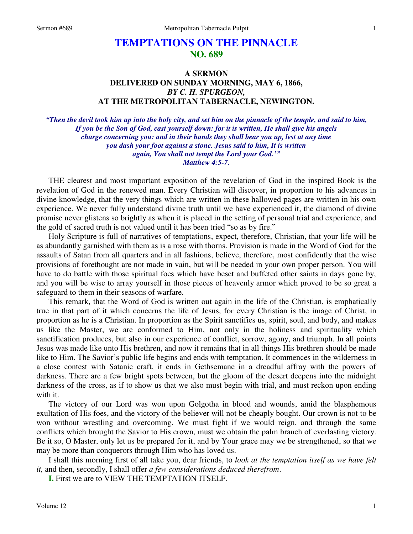## **TEMPTATIONS ON THE PINNACLE NO. 689**

## **A SERMON DELIVERED ON SUNDAY MORNING, MAY 6, 1866,**  *BY C. H. SPURGEON,*  **AT THE METROPOLITAN TABERNACLE, NEWINGTON.**

*"Then the devil took him up into the holy city, and set him on the pinnacle of the temple, and said to him, If you be the Son of God, cast yourself down: for it is written, He shall give his angels charge concerning you: and in their hands they shall bear you up, lest at any time you dash your foot against a stone. Jesus said to him, It is written again, You shall not tempt the Lord your God.'" Matthew 4:5-7.* 

THE clearest and most important exposition of the revelation of God in the inspired Book is the revelation of God in the renewed man. Every Christian will discover, in proportion to his advances in divine knowledge, that the very things which are written in these hallowed pages are written in his own experience. We never fully understand divine truth until we have experienced it, the diamond of divine promise never glistens so brightly as when it is placed in the setting of personal trial and experience, and the gold of sacred truth is not valued until it has been tried "so as by fire."

 Holy Scripture is full of narratives of temptations, expect, therefore, Christian, that your life will be as abundantly garnished with them as is a rose with thorns. Provision is made in the Word of God for the assaults of Satan from all quarters and in all fashions, believe, therefore, most confidently that the wise provisions of forethought are not made in vain, but will be needed in your own proper person. You will have to do battle with those spiritual foes which have beset and buffeted other saints in days gone by, and you will be wise to array yourself in those pieces of heavenly armor which proved to be so great a safeguard to them in their seasons of warfare.

 This remark, that the Word of God is written out again in the life of the Christian, is emphatically true in that part of it which concerns the life of Jesus, for every Christian is the image of Christ, in proportion as he is a Christian. In proportion as the Spirit sanctifies us, spirit, soul, and body, and makes us like the Master, we are conformed to Him, not only in the holiness and spirituality which sanctification produces, but also in our experience of conflict, sorrow, agony, and triumph. In all points Jesus was made like unto His brethren, and now it remains that in all things His brethren should be made like to Him. The Savior's public life begins and ends with temptation. It commences in the wilderness in a close contest with Satanic craft, it ends in Gethsemane in a dreadful affray with the powers of darkness. There are a few bright spots between, but the gloom of the desert deepens into the midnight darkness of the cross, as if to show us that we also must begin with trial, and must reckon upon ending with it.

 The victory of our Lord was won upon Golgotha in blood and wounds, amid the blasphemous exultation of His foes, and the victory of the believer will not be cheaply bought. Our crown is not to be won without wrestling and overcoming. We must fight if we would reign, and through the same conflicts which brought the Savior to His crown, must we obtain the palm branch of everlasting victory. Be it so, O Master, only let us be prepared for it, and by Your grace may we be strengthened, so that we may be more than conquerors through Him who has loved us.

 I shall this morning first of all take you, dear friends, to *look at the temptation itself as we have felt it,* and then, secondly, I shall offer *a few considerations deduced therefrom*.

**I.** First we are to VIEW THE TEMPTATION ITSELF.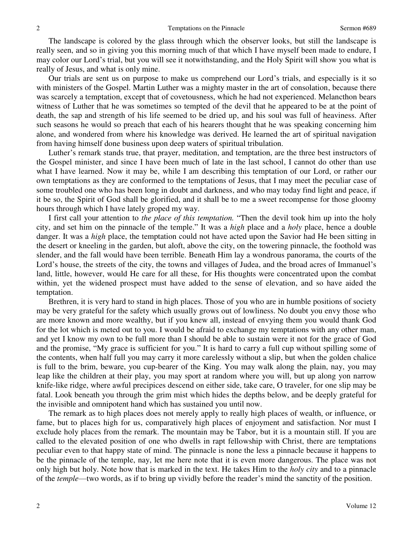The landscape is colored by the glass through which the observer looks, but still the landscape is really seen, and so in giving you this morning much of that which I have myself been made to endure, I may color our Lord's trial, but you will see it notwithstanding, and the Holy Spirit will show you what is really of Jesus, and what is only mine.

 Our trials are sent us on purpose to make us comprehend our Lord's trials, and especially is it so with ministers of the Gospel. Martin Luther was a mighty master in the art of consolation, because there was scarcely a temptation, except that of covetousness, which he had not experienced. Melancthon bears witness of Luther that he was sometimes so tempted of the devil that he appeared to be at the point of death, the sap and strength of his life seemed to be dried up, and his soul was full of heaviness. After such seasons he would so preach that each of his hearers thought that he was speaking concerning him alone, and wondered from where his knowledge was derived. He learned the art of spiritual navigation from having himself done business upon deep waters of spiritual tribulation.

 Luther's remark stands true, that prayer, meditation, and temptation, are the three best instructors of the Gospel minister, and since I have been much of late in the last school, I cannot do other than use what I have learned. Now it may be, while I am describing this temptation of our Lord, or rather our own temptations as they are conformed to the temptations of Jesus, that I may meet the peculiar case of some troubled one who has been long in doubt and darkness, and who may today find light and peace, if it be so, the Spirit of God shall be glorified, and it shall be to me a sweet recompense for those gloomy hours through which I have lately groped my way.

 I first call your attention to *the place of this temptation.* "Then the devil took him up into the holy city, and set him on the pinnacle of the temple." It was a *high* place and a *holy* place, hence a double danger. It was a *high* place, the temptation could not have acted upon the Savior had He been sitting in the desert or kneeling in the garden, but aloft, above the city, on the towering pinnacle, the foothold was slender, and the fall would have been terrible. Beneath Him lay a wondrous panorama, the courts of the Lord's house, the streets of the city, the towns and villages of Judea, and the broad acres of Immanuel's land, little, however, would He care for all these, for His thoughts were concentrated upon the combat within, yet the widened prospect must have added to the sense of elevation, and so have aided the temptation.

 Brethren, it is very hard to stand in high places. Those of you who are in humble positions of society may be very grateful for the safety which usually grows out of lowliness. No doubt you envy those who are more known and more wealthy, but if you knew all, instead of envying them you would thank God for the lot which is meted out to you. I would be afraid to exchange my temptations with any other man, and yet I know my own to be full more than I should be able to sustain were it not for the grace of God and the promise, "My grace is sufficient for you." It is hard to carry a full cup without spilling some of the contents, when half full you may carry it more carelessly without a slip, but when the golden chalice is full to the brim, beware, you cup-bearer of the King. You may walk along the plain, nay, you may leap like the children at their play, you may sport at random where you will, but up along yon narrow knife-like ridge, where awful precipices descend on either side, take care, O traveler, for one slip may be fatal. Look beneath you through the grim mist which hides the depths below, and be deeply grateful for the invisible and omnipotent hand which has sustained you until now.

 The remark as to high places does not merely apply to really high places of wealth, or influence, or fame, but to places high for us, comparatively high places of enjoyment and satisfaction. Nor must I exclude holy places from the remark. The mountain may be Tabor, but it is a mountain still. If you are called to the elevated position of one who dwells in rapt fellowship with Christ, there are temptations peculiar even to that happy state of mind. The pinnacle is none the less a pinnacle because it happens to be the pinnacle of the temple, nay, let me here note that it is even more dangerous. The place was not only high but holy. Note how that is marked in the text. He takes Him to the *holy city* and to a pinnacle of the *temple*—two words, as if to bring up vividly before the reader's mind the sanctity of the position.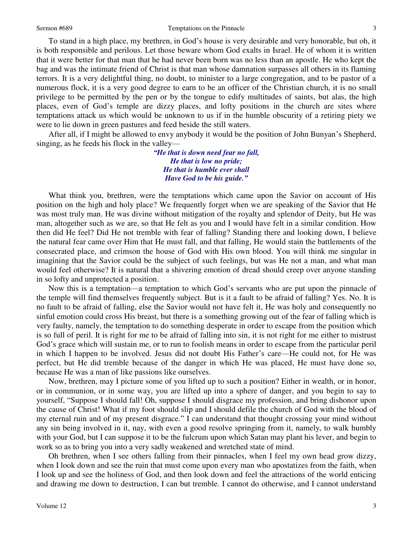To stand in a high place, my brethren, in God's house is very desirable and very honorable, but oh, it is both responsible and perilous. Let those beware whom God exalts in Israel. He of whom it is written that it were better for that man that he had never been born was no less than an apostle. He who kept the bag and was the intimate friend of Christ is that man whose damnation surpasses all others in its flaming terrors. It is a very delightful thing, no doubt, to minister to a large congregation, and to be pastor of a numerous flock, it is a very good degree to earn to be an officer of the Christian church, it is no small privilege to be permitted by the pen or by the tongue to edify multitudes of saints, but alas, the high places, even of God's temple are dizzy places, and lofty positions in the church are sites where temptations attack us which would be unknown to us if in the humble obscurity of a retiring piety we were to lie down in green pastures and feed beside the still waters.

 After all, if I might be allowed to envy anybody it would be the position of John Bunyan's Shepherd, singing, as he feeds his flock in the valley—

> *"He that is down need fear no fall, He that is low no pride; He that is humble ever shall Have God to be his guide."*

What think you, brethren, were the temptations which came upon the Savior on account of His position on the high and holy place? We frequently forget when we are speaking of the Savior that He was most truly man. He was divine without mitigation of the royalty and splendor of Deity, but He was man, altogether such as we are, so that He felt as you and I would have felt in a similar condition. How then did He feel? Did He not tremble with fear of falling? Standing there and looking down, I believe the natural fear came over Him that He must fall, and that falling, He would stain the battlements of the consecrated place, and crimson the house of God with His own blood. You will think me singular in imagining that the Savior could be the subject of such feelings, but was He not a man, and what man would feel otherwise? It is natural that a shivering emotion of dread should creep over anyone standing in so lofty and unprotected a position.

 Now this is a temptation—a temptation to which God's servants who are put upon the pinnacle of the temple will find themselves frequently subject. But is it a fault to be afraid of falling? Yes. No. It is no fault to be afraid of falling, else the Savior would not have felt it, He was holy and consequently no sinful emotion could cross His breast, but there is a something growing out of the fear of falling which is very faulty, namely, the temptation to do something desperate in order to escape from the position which is so full of peril. It is right for me to be afraid of falling into sin, it is not right for me either to mistrust God's grace which will sustain me, or to run to foolish means in order to escape from the particular peril in which I happen to be involved. Jesus did not doubt His Father's care—He could not, for He was perfect, but He did tremble because of the danger in which He was placed, He must have done so, because He was a man of like passions like ourselves.

 Now, brethren, may I picture some of you lifted up to such a position? Either in wealth, or in honor, or in communion, or in some way, you are lifted up into a sphere of danger, and you begin to say to yourself, "Suppose I should fall! Oh, suppose I should disgrace my profession, and bring dishonor upon the cause of Christ! What if my foot should slip and I should defile the church of God with the blood of my eternal ruin and of my present disgrace." I can understand that thought crossing your mind without any sin being involved in it, nay, with even a good resolve springing from it, namely, to walk humbly with your God, but I can suppose it to be the fulcrum upon which Satan may plant his lever, and begin to work so as to bring you into a very sadly weakened and wretched state of mind.

 Oh brethren, when I see others falling from their pinnacles, when I feel my own head grow dizzy, when I look down and see the ruin that must come upon every man who apostatizes from the faith, when I look up and see the holiness of God, and then look down and feel the attractions of the world enticing and drawing me down to destruction, I can but tremble. I cannot do otherwise, and I cannot understand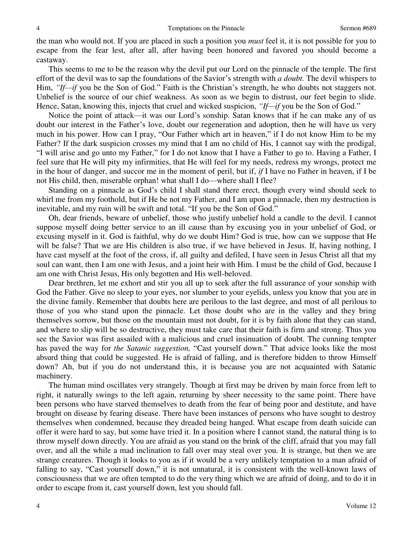the man who would not. If you are placed in such a position you *must* feel it, it is not possible for you to escape from the fear lest, after all, after having been honored and favored you should become a castaway.

 This seems to me to be the reason why the devil put our Lord on the pinnacle of the temple. The first effort of the devil was to sap the foundations of the Savior's strength with *a doubt.* The devil whispers to Him, *"If—if* you be the Son of God." Faith is the Christian's strength, he who doubts not staggers not. Unbelief is the source of our chief weakness. As soon as we begin to distrust, our feet begin to slide. Hence, Satan, knowing this, injects that cruel and wicked suspicion, *"If—if* you be the Son of God."

 Notice the point of attack—it was our Lord's sonship. Satan knows that if he can make any of us doubt our interest in the Father's love, doubt our regeneration and adoption, then he will have us very much in his power. How can I pray, "Our Father which art in heaven," if I do not know Him to be my Father? If the dark suspicion crosses my mind that I am no child of His, I cannot say with the prodigal, "I will arise and go unto my Father," for I do not know that I have a Father to go to. Having a Father, I feel sure that He will pity my infirmities, that He will feel for my needs, redress my wrongs, protect me in the hour of danger, and succor me in the moment of peril, but if, *if* I have no Father in heaven, if I be not His child, then, miserable orphan! what shall I do—where shall I flee?

Standing on a pinnacle as God's child I shall stand there erect, though every wind should seek to whirl me from my foothold, but if He be not my Father, and I am upon a pinnacle, then my destruction is inevitable, and my ruin will be swift and total. "If you be the Son of God."

 Oh, dear friends, beware of unbelief, those who justify unbelief hold a candle to the devil. I cannot suppose myself doing better service to an ill cause than by excusing you in your unbelief of God, or excusing myself in it. God is faithful, why do we doubt Him? God is true, how can we suppose that He will be false? That we are His children is also true, if we have believed in Jesus. If, having nothing, I have cast myself at the foot of the cross, if, all guilty and defiled, I have seen in Jesus Christ all that my soul can want, then I am one with Jesus, and a joint heir with Him. I must be the child of God, because I am one with Christ Jesus, His only begotten and His well-beloved.

 Dear brethren, let me exhort and stir you all up to seek after the full assurance of your sonship with God the Father. Give no sleep to your eyes, nor slumber to your eyelids, unless you know that you are in the divine family. Remember that doubts here are perilous to the last degree, and most of all perilous to those of you who stand upon the pinnacle. Let those doubt who are in the valley and they bring themselves sorrow, but those on the mountain must not doubt, for it is by faith alone that they can stand, and where to slip will be so destructive, they must take care that their faith is firm and strong. Thus you see the Savior was first assailed with a malicious and cruel insinuation of doubt. The cunning tempter has paved the way for *the Satanic suggestion,* "Cast yourself down." That advice looks like the most absurd thing that could be suggested. He is afraid of falling, and is therefore bidden to throw Himself down? Ah, but if you do not understand this, it is because you are not acquainted with Satanic machinery.

 The human mind oscillates very strangely. Though at first may be driven by main force from left to right, it naturally swings to the left again, returning by sheer necessity to the same point. There have been persons who have starved themselves to death from the fear of being poor and destitute, and have brought on disease by fearing disease. There have been instances of persons who have sought to destroy themselves when condemned, because they dreaded being hanged. What escape from death suicide can offer it were hard to say, but some have tried it. In a position where I cannot stand, the natural thing is to throw myself down directly. You are afraid as you stand on the brink of the cliff, afraid that you may fall over, and all the while a mad inclination to fall over may steal over you. It is strange, but then we are strange creatures. Though it looks to you as if it would be a very unlikely temptation to a man afraid of falling to say, "Cast yourself down," it is not unnatural, it is consistent with the well-known laws of consciousness that we are often tempted to do the very thing which we are afraid of doing, and to do it in order to escape from it, cast yourself down, lest you should fall.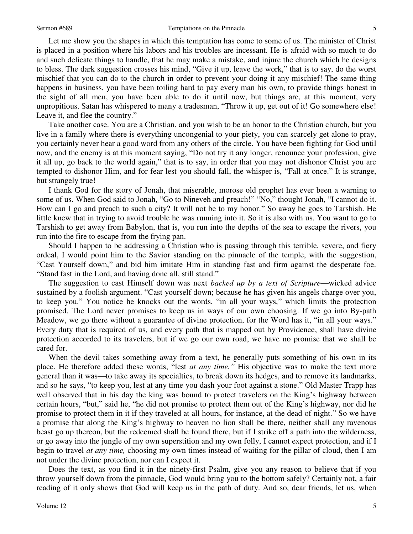Let me show you the shapes in which this temptation has come to some of us. The minister of Christ is placed in a position where his labors and his troubles are incessant. He is afraid with so much to do and such delicate things to handle, that he may make a mistake, and injure the church which he designs to bless. The dark suggestion crosses his mind, "Give it up, leave the work," that is to say, do the worst mischief that you can do to the church in order to prevent your doing it any mischief! The same thing happens in business, you have been toiling hard to pay every man his own, to provide things honest in the sight of all men, you have been able to do it until now, but things are, at this moment, very unpropitious. Satan has whispered to many a tradesman, "Throw it up, get out of it! Go somewhere else! Leave it, and flee the country."

 Take another case. You are a Christian, and you wish to be an honor to the Christian church, but you live in a family where there is everything uncongenial to your piety, you can scarcely get alone to pray, you certainly never hear a good word from any others of the circle. You have been fighting for God until now, and the enemy is at this moment saying, "Do not try it any longer, renounce your profession, give it all up, go back to the world again," that is to say, in order that you may not dishonor Christ you are tempted to dishonor Him, and for fear lest you should fall, the whisper is, "Fall at once." It is strange, but strangely true!

 I thank God for the story of Jonah, that miserable, morose old prophet has ever been a warning to some of us. When God said to Jonah, "Go to Nineveh and preach!" "No," thought Jonah, "I cannot do it. How can I go and preach to such a city? It will not be to my honor." So away he goes to Tarshish. He little knew that in trying to avoid trouble he was running into it. So it is also with us. You want to go to Tarshish to get away from Babylon, that is, you run into the depths of the sea to escape the rivers, you run into the fire to escape from the frying pan.

 Should I happen to be addressing a Christian who is passing through this terrible, severe, and fiery ordeal, I would point him to the Savior standing on the pinnacle of the temple, with the suggestion, "Cast Yourself down," and bid him imitate Him in standing fast and firm against the desperate foe. "Stand fast in the Lord, and having done all, still stand."

 The suggestion to cast Himself down was next *backed up by a text of Scripture*—wicked advice sustained by a foolish argument. "Cast yourself down; because he has given his angels charge over you, to keep you." You notice he knocks out the words, "in all your ways," which limits the protection promised. The Lord never promises to keep us in ways of our own choosing. If we go into By-path Meadow, we go there without a guarantee of divine protection, for the Word has it, "in all your ways." Every duty that is required of us, and every path that is mapped out by Providence, shall have divine protection accorded to its travelers, but if we go our own road, we have no promise that we shall be cared for.

When the devil takes something away from a text, he generally puts something of his own in its place. He therefore added these words, "lest *at any time."* His objective was to make the text more general than it was—to take away its specialties, to break down its hedges, and to remove its landmarks, and so he says, "to keep you, lest at any time you dash your foot against a stone." Old Master Trapp has well observed that in his day the king was bound to protect travelers on the King's highway between certain hours, "but," said he, "he did not promise to protect them out of the King's highway, nor did he promise to protect them in it if they traveled at all hours, for instance, at the dead of night." So we have a promise that along the King's highway to heaven no lion shall be there, neither shall any ravenous beast go up thereon, but the redeemed shall be found there, but if I strike off a path into the wilderness, or go away into the jungle of my own superstition and my own folly, I cannot expect protection, and if I begin to travel *at any time,* choosing my own times instead of waiting for the pillar of cloud, then I am not under the divine protection, nor can I expect it.

 Does the text, as you find it in the ninety-first Psalm, give you any reason to believe that if you throw yourself down from the pinnacle, God would bring you to the bottom safely? Certainly not, a fair reading of it only shows that God will keep us in the path of duty. And so, dear friends, let us, when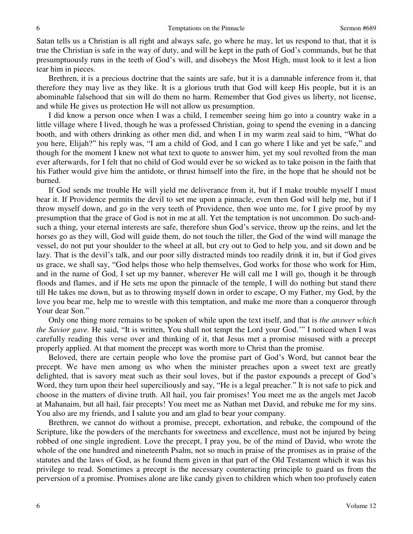Satan tells us a Christian is all right and always safe, go where he may, let us respond to that, that it is true the Christian is safe in the way of duty, and will be kept in the path of God's commands, but he that presumptuously runs in the teeth of God's will, and disobeys the Most High, must look to it lest a lion tear him in pieces.

 Brethren, it is a precious doctrine that the saints are safe, but it is a damnable inference from it, that therefore they may live as they like. It is a glorious truth that God will keep His people, but it is an abominable falsehood that sin will do them no harm. Remember that God gives us liberty, not license, and while He gives us protection He will not allow us presumption.

I did know a person once when I was a child, I remember seeing him go into a country wake in a little village where I lived, though he was a professed Christian, going to spend the evening in a dancing booth, and with others drinking as other men did, and when I in my warm zeal said to him, "What do you here, Elijah?" his reply was, "I am a child of God, and I can go where I like and yet be safe," and though for the moment I knew not what text to quote to answer him, yet my soul revolted from the man ever afterwards, for I felt that no child of God would ever be so wicked as to take poison in the faith that his Father would give him the antidote, or thrust himself into the fire, in the hope that he should not be burned.

 If God sends me trouble He will yield me deliverance from it, but if I make trouble myself I must bear it. If Providence permits the devil to set me upon a pinnacle, even then God will help me, but if I throw myself down, and go in the very teeth of Providence, then woe unto me, for I give proof by my presumption that the grace of God is not in me at all. Yet the temptation is not uncommon. Do such-andsuch a thing, your eternal interests are safe, therefore shun God's service, throw up the reins, and let the horses go as they will, God will guide them, do not touch the tiller, the God of the wind will manage the vessel, do not put your shoulder to the wheel at all, but cry out to God to help you, and sit down and be lazy. That is the devil's talk, and our poor silly distracted minds too readily drink it in, but if God gives us grace, we shall say, "God helps those who help themselves, God works for those who work for Him, and in the name of God, I set up my banner, wherever He will call me I will go, though it be through floods and flames, and if He sets me upon the pinnacle of the temple, I will do nothing but stand there till He takes me down, but as to throwing myself down in order to escape, O my Father, my God, by the love you bear me, help me to wrestle with this temptation, and make me more than a conqueror through Your dear Son."

 Only one thing more remains to be spoken of while upon the text itself, and that is *the answer which the Savior gave.* He said, "It is written, You shall not tempt the Lord your God.'" I noticed when I was carefully reading this verse over and thinking of it, that Jesus met a promise misused with a precept properly applied. At that moment the precept was worth more to Christ than the promise.

 Beloved, there are certain people who love the promise part of God's Word, but cannot bear the precept. We have men among us who when the minister preaches upon a sweet text are greatly delighted, that is savory meat such as their soul loves, but if the pastor expounds a precept of God's Word, they turn upon their heel superciliously and say, "He is a legal preacher." It is not safe to pick and choose in the matters of divine truth. All hail, you fair promises! You meet me as the angels met Jacob at Mahanaim, but all hail, fair precepts! You meet me as Nathan met David, and rebuke me for my sins. You also are my friends, and I salute you and am glad to bear your company.

 Brethren, we cannot do without a promise, precept, exhortation, and rebuke, the compound of the Scripture, like the powders of the merchants for sweetness and excellence, must not be injured by being robbed of one single ingredient. Love the precept, I pray you, be of the mind of David, who wrote the whole of the one hundred and nineteenth Psalm, not so much in praise of the promises as in praise of the statutes and the laws of God, as he found them given in that part of the Old Testament which it was his privilege to read. Sometimes a precept is the necessary counteracting principle to guard us from the perversion of a promise. Promises alone are like candy given to children which when too profusely eaten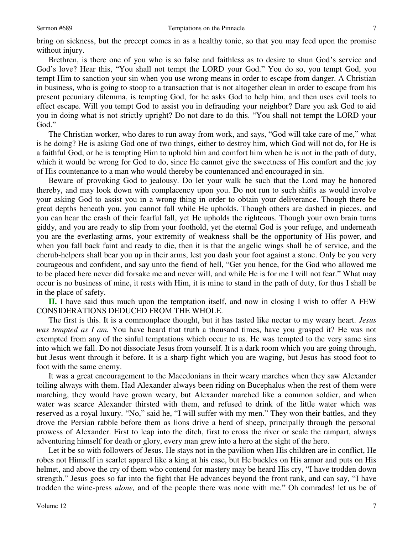bring on sickness, but the precept comes in as a healthy tonic, so that you may feed upon the promise without injury.

 Brethren, is there one of you who is so false and faithless as to desire to shun God's service and God's love? Hear this, "You shall not tempt the LORD your God." You do so, you tempt God, you tempt Him to sanction your sin when you use wrong means in order to escape from danger. A Christian in business, who is going to stoop to a transaction that is not altogether clean in order to escape from his present pecuniary dilemma, is tempting God, for he asks God to help him, and then uses evil tools to effect escape. Will you tempt God to assist you in defrauding your neighbor? Dare you ask God to aid you in doing what is not strictly upright? Do not dare to do this. "You shall not tempt the LORD your God."

 The Christian worker, who dares to run away from work, and says, "God will take care of me," what is he doing? He is asking God one of two things, either to destroy him, which God will not do, for He is a faithful God, or he is tempting Him to uphold him and comfort him when he is not in the path of duty, which it would be wrong for God to do, since He cannot give the sweetness of His comfort and the joy of His countenance to a man who would thereby be countenanced and encouraged in sin.

 Beware of provoking God to jealousy. Do let your walk be such that the Lord may be honored thereby, and may look down with complacency upon you. Do not run to such shifts as would involve your asking God to assist you in a wrong thing in order to obtain your deliverance. Though there be great depths beneath you, you cannot fall while He upholds. Though others are dashed in pieces, and you can hear the crash of their fearful fall, yet He upholds the righteous. Though your own brain turns giddy, and you are ready to slip from your foothold, yet the eternal God is your refuge, and underneath you are the everlasting arms, your extremity of weakness shall be the opportunity of His power, and when you fall back faint and ready to die, then it is that the angelic wings shall be of service, and the cherub-helpers shall bear you up in their arms, lest you dash your foot against a stone. Only be you very courageous and confident, and say unto the fiend of hell, "Get you hence, for the God who allowed me to be placed here never did forsake me and never will, and while He is for me I will not fear." What may occur is no business of mine, it rests with Him, it is mine to stand in the path of duty, for thus I shall be in the place of safety.

**II.** I have said thus much upon the temptation itself, and now in closing I wish to offer A FEW CONSIDERATIONS DEDUCED FROM THE WHOLE.

 The first is this. It is a commonplace thought, but it has tasted like nectar to my weary heart. *Jesus was tempted as I am.* You have heard that truth a thousand times, have you grasped it? He was not exempted from any of the sinful temptations which occur to us. He was tempted to the very same sins into which we fall. Do not dissociate Jesus from yourself. It is a dark room which you are going through, but Jesus went through it before. It is a sharp fight which you are waging, but Jesus has stood foot to foot with the same enemy.

 It was a great encouragement to the Macedonians in their weary marches when they saw Alexander toiling always with them. Had Alexander always been riding on Bucephalus when the rest of them were marching, they would have grown weary, but Alexander marched like a common soldier, and when water was scarce Alexander thirsted with them, and refused to drink of the little water which was reserved as a royal luxury. "No," said he, "I will suffer with my men." They won their battles, and they drove the Persian rabble before them as lions drive a herd of sheep, principally through the personal prowess of Alexander. First to leap into the ditch, first to cross the river or scale the rampart, always adventuring himself for death or glory, every man grew into a hero at the sight of the hero.

 Let it be so with followers of Jesus. He stays not in the pavilion when His children are in conflict, He robes not Himself in scarlet apparel like a king at his ease, but He buckles on His armor and puts on His helmet, and above the cry of them who contend for mastery may be heard His cry, "I have trodden down strength." Jesus goes so far into the fight that He advances beyond the front rank, and can say, "I have trodden the wine-press *alone,* and of the people there was none with me." Oh comrades! let us be of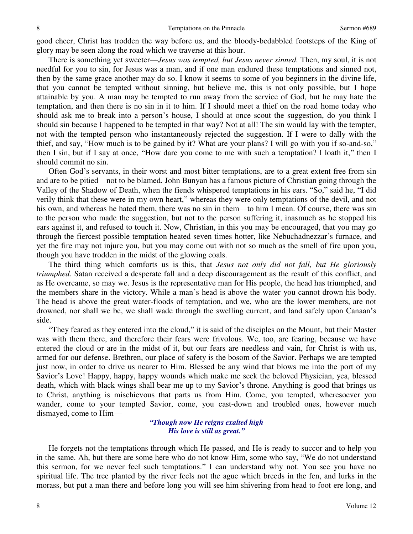good cheer, Christ has trodden the way before us, and the bloody-bedabbled footsteps of the King of glory may be seen along the road which we traverse at this hour.

 There is something yet sweeter—*Jesus was tempted, but Jesus never sinned.* Then, my soul, it is not needful for you to sin, for Jesus was a man, and if one man endured these temptations and sinned not, then by the same grace another may do so. I know it seems to some of you beginners in the divine life, that you cannot be tempted without sinning, but believe me, this is not only possible, but I hope attainable by you. A man may be tempted to run away from the service of God, but he may hate the temptation, and then there is no sin in it to him. If I should meet a thief on the road home today who should ask me to break into a person's house, I should at once scout the suggestion, do you think I should sin because I happened to be tempted in that way? Not at all! The sin would lay with the tempter, not with the tempted person who instantaneously rejected the suggestion. If I were to dally with the thief, and say, "How much is to be gained by it? What are your plans? I will go with you if so-and-so," then I sin, but if I say at once, "How dare you come to me with such a temptation? I loath it," then I should commit no sin.

 Often God's servants, in their worst and most bitter temptations, are to a great extent free from sin and are to be pitied—not to be blamed. John Bunyan has a famous picture of Christian going through the Valley of the Shadow of Death, when the fiends whispered temptations in his ears. "So," said he, "I did verily think that these were in my own heart," whereas they were only temptations of the devil, and not his own, and whereas he hated them, there was no sin in them—to him I mean. Of course, there was sin to the person who made the suggestion, but not to the person suffering it, inasmuch as he stopped his ears against it, and refused to touch it. Now, Christian, in this you may be encouraged, that you may go through the fiercest possible temptation heated seven times hotter, like Nebuchadnezzar's furnace, and yet the fire may not injure you, but you may come out with not so much as the smell of fire upon you, though you have trodden in the midst of the glowing coals.

 The third thing which comforts us is this, that *Jesus not only did not fall, but He gloriously triumphed.* Satan received a desperate fall and a deep discouragement as the result of this conflict, and as He overcame, so may we. Jesus is the representative man for His people, the head has triumphed, and the members share in the victory. While a man's head is above the water you cannot drown his body. The head is above the great water-floods of temptation, and we, who are the lower members, are not drowned, nor shall we be, we shall wade through the swelling current, and land safely upon Canaan's side.

"They feared as they entered into the cloud," it is said of the disciples on the Mount, but their Master was with them there, and therefore their fears were frivolous. We, too, are fearing, because we have entered the cloud or are in the midst of it, but our fears are needless and vain, for Christ is with us, armed for our defense. Brethren, our place of safety is the bosom of the Savior. Perhaps we are tempted just now, in order to drive us nearer to Him. Blessed be any wind that blows me into the port of my Savior's Love! Happy, happy, happy wounds which make me seek the beloved Physician, yea, blessed death, which with black wings shall bear me up to my Savior's throne. Anything is good that brings us to Christ, anything is mischievous that parts us from Him. Come, you tempted, wheresoever you wander, come to your tempted Savior, come, you cast-down and troubled ones, however much dismayed, come to Him—

## *"Though now He reigns exalted high His love is still as great."*

 He forgets not the temptations through which He passed, and He is ready to succor and to help you in the same. Ah, but there are some here who do not know Him, some who say, "We do not understand this sermon, for we never feel such temptations." I can understand why not. You see you have no spiritual life. The tree planted by the river feels not the ague which breeds in the fen, and lurks in the morass, but put a man there and before long you will see him shivering from head to foot ere long, and